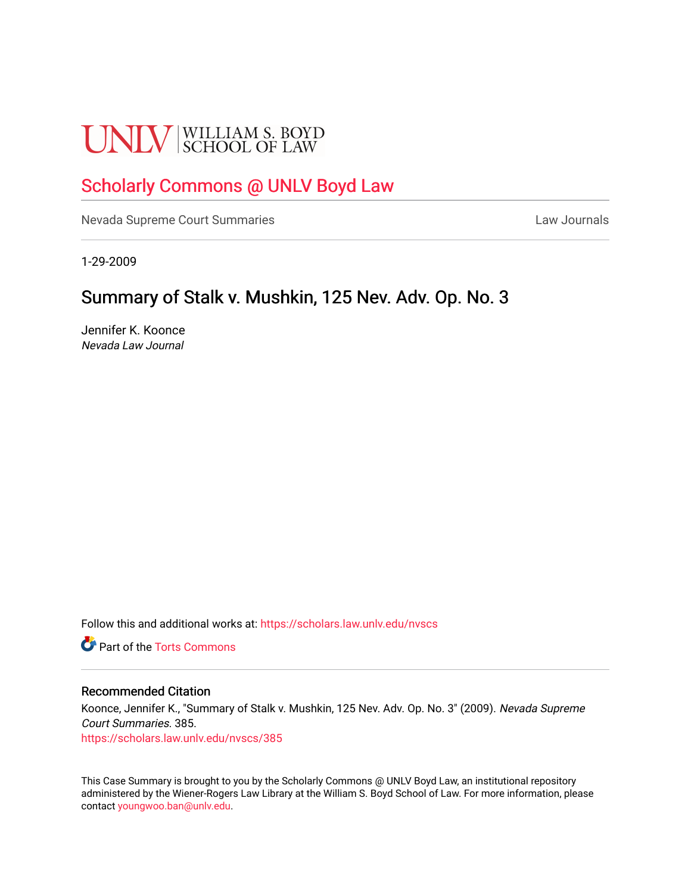# **UNLV** SCHOOL OF LAW

## [Scholarly Commons @ UNLV Boyd Law](https://scholars.law.unlv.edu/)

[Nevada Supreme Court Summaries](https://scholars.law.unlv.edu/nvscs) **Law Journals** Law Journals

1-29-2009

# Summary of Stalk v. Mushkin, 125 Nev. Adv. Op. No. 3

Jennifer K. Koonce Nevada Law Journal

Follow this and additional works at: [https://scholars.law.unlv.edu/nvscs](https://scholars.law.unlv.edu/nvscs?utm_source=scholars.law.unlv.edu%2Fnvscs%2F385&utm_medium=PDF&utm_campaign=PDFCoverPages)

**C** Part of the [Torts Commons](http://network.bepress.com/hgg/discipline/913?utm_source=scholars.law.unlv.edu%2Fnvscs%2F385&utm_medium=PDF&utm_campaign=PDFCoverPages)

#### Recommended Citation

Koonce, Jennifer K., "Summary of Stalk v. Mushkin, 125 Nev. Adv. Op. No. 3" (2009). Nevada Supreme Court Summaries. 385. [https://scholars.law.unlv.edu/nvscs/385](https://scholars.law.unlv.edu/nvscs/385?utm_source=scholars.law.unlv.edu%2Fnvscs%2F385&utm_medium=PDF&utm_campaign=PDFCoverPages)

This Case Summary is brought to you by the Scholarly Commons @ UNLV Boyd Law, an institutional repository administered by the Wiener-Rogers Law Library at the William S. Boyd School of Law. For more information, please contact [youngwoo.ban@unlv.edu](mailto:youngwoo.ban@unlv.edu).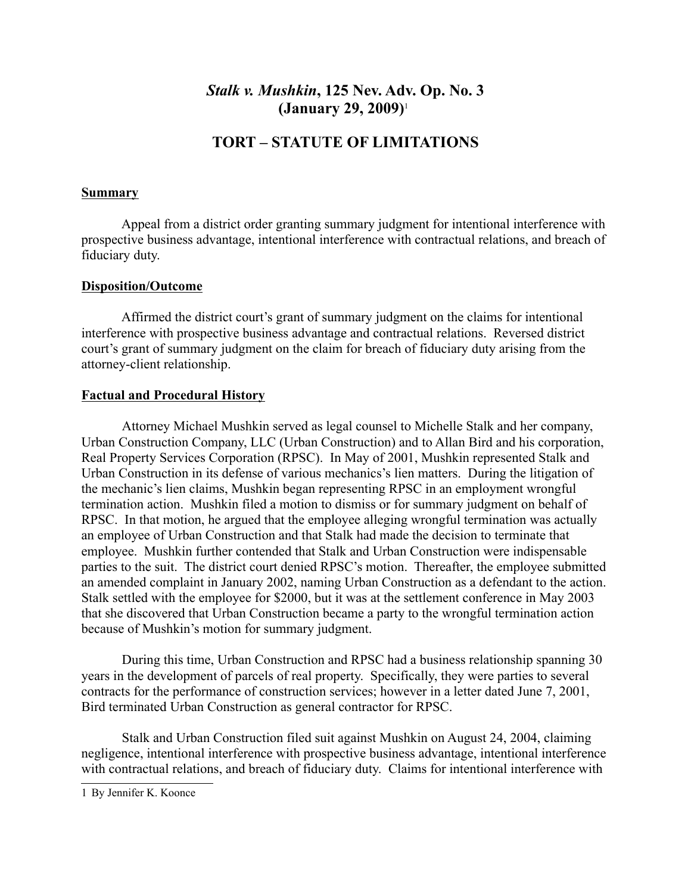### *Stalk v. Mushkin***, 125 Nev. Adv. Op. No. 3 (January 29, 2009)**<sup>1</sup>

## **TORT – STATUTE OF LIMITATIONS**

#### **Summary**

Appeal from a district order granting summary judgment for intentional interference with prospective business advantage, intentional interference with contractual relations, and breach of fiduciary duty.

#### **Disposition/Outcome**

Affirmed the district court's grant of summary judgment on the claims for intentional interference with prospective business advantage and contractual relations. Reversed district court's grant of summary judgment on the claim for breach of fiduciary duty arising from the attorney-client relationship.

#### **Factual and Procedural History**

Attorney Michael Mushkin served as legal counsel to Michelle Stalk and her company, Urban Construction Company, LLC (Urban Construction) and to Allan Bird and his corporation, Real Property Services Corporation (RPSC). In May of 2001, Mushkin represented Stalk and Urban Construction in its defense of various mechanics's lien matters. During the litigation of the mechanic's lien claims, Mushkin began representing RPSC in an employment wrongful termination action. Mushkin filed a motion to dismiss or for summary judgment on behalf of RPSC. In that motion, he argued that the employee alleging wrongful termination was actually an employee of Urban Construction and that Stalk had made the decision to terminate that employee. Mushkin further contended that Stalk and Urban Construction were indispensable parties to the suit. The district court denied RPSC's motion. Thereafter, the employee submitted an amended complaint in January 2002, naming Urban Construction as a defendant to the action. Stalk settled with the employee for \$2000, but it was at the settlement conference in May 2003 that she discovered that Urban Construction became a party to the wrongful termination action because of Mushkin's motion for summary judgment.

During this time, Urban Construction and RPSC had a business relationship spanning 30 years in the development of parcels of real property. Specifically, they were parties to several contracts for the performance of construction services; however in a letter dated June 7, 2001, Bird terminated Urban Construction as general contractor for RPSC.

Stalk and Urban Construction filed suit against Mushkin on August 24, 2004, claiming negligence, intentional interference with prospective business advantage, intentional interference with contractual relations, and breach of fiduciary duty. Claims for intentional interference with

<sup>1</sup> By Jennifer K. Koonce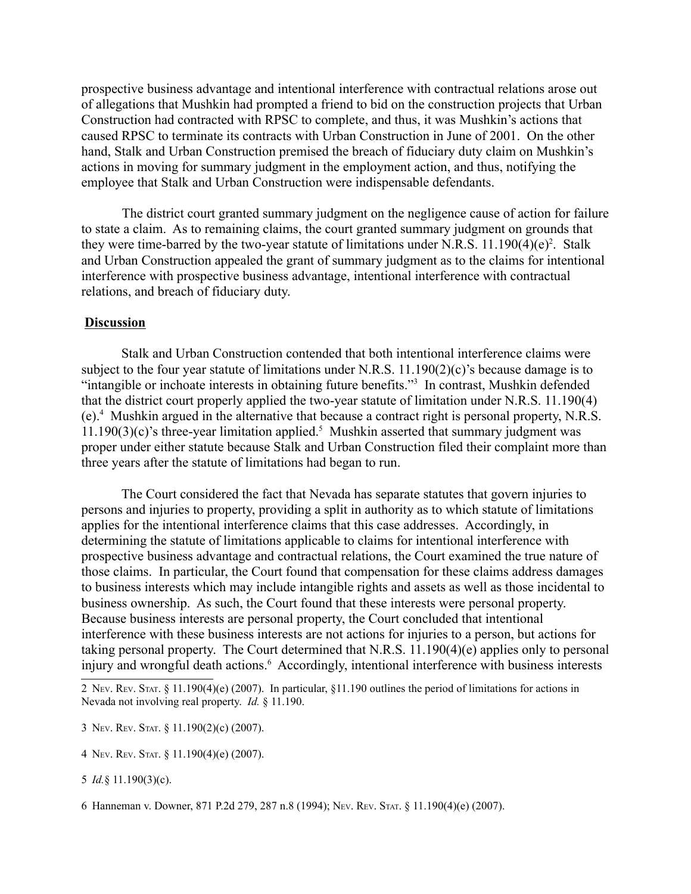prospective business advantage and intentional interference with contractual relations arose out of allegations that Mushkin had prompted a friend to bid on the construction projects that Urban Construction had contracted with RPSC to complete, and thus, it was Mushkin's actions that caused RPSC to terminate its contracts with Urban Construction in June of 2001. On the other hand, Stalk and Urban Construction premised the breach of fiduciary duty claim on Mushkin's actions in moving for summary judgment in the employment action, and thus, notifying the employee that Stalk and Urban Construction were indispensable defendants.

The district court granted summary judgment on the negligence cause of action for failure to state a claim. As to remaining claims, the court granted summary judgment on grounds that they were time-barred by the two-year statute of limitations under N.R.S.  $11.190(4)(e)^2$ . Stalk and Urban Construction appealed the grant of summary judgment as to the claims for intentional interference with prospective business advantage, intentional interference with contractual relations, and breach of fiduciary duty.

#### **Discussion**

Stalk and Urban Construction contended that both intentional interference claims were subject to the four year statute of limitations under N.R.S. 11.190(2)(c)'s because damage is to "intangible or inchoate interests in obtaining future benefits."<sup>3</sup> In contrast, Mushkin defended that the district court properly applied the two-year statute of limitation under N.R.S. 11.190(4) (e).4 Mushkin argued in the alternative that because a contract right is personal property, N.R.S.  $11.190(3)(c)$ 's three-year limitation applied.<sup>5</sup> Mushkin asserted that summary judgment was proper under either statute because Stalk and Urban Construction filed their complaint more than three years after the statute of limitations had began to run.

The Court considered the fact that Nevada has separate statutes that govern injuries to persons and injuries to property, providing a split in authority as to which statute of limitations applies for the intentional interference claims that this case addresses. Accordingly, in determining the statute of limitations applicable to claims for intentional interference with prospective business advantage and contractual relations, the Court examined the true nature of those claims. In particular, the Court found that compensation for these claims address damages to business interests which may include intangible rights and assets as well as those incidental to business ownership. As such, the Court found that these interests were personal property. Because business interests are personal property, the Court concluded that intentional interference with these business interests are not actions for injuries to a person, but actions for taking personal property. The Court determined that N.R.S.  $11.190(4)(e)$  applies only to personal injury and wrongful death actions.<sup>6</sup> Accordingly, intentional interference with business interests

3 NEV. REV. STAT. § 11.190(2)(c) (2007).

4 NEV. REV. STAT. § 11.190(4)(e) (2007).

5 *Id.*§ 11.190(3)(c).

<sup>2</sup> NEV. REV. STAT. § 11.190(4)(e) (2007). In particular, §11.190 outlines the period of limitations for actions in Nevada not involving real property. *Id.* § 11.190.

<sup>6</sup> Hanneman v. Downer, 871 P.2d 279, 287 n.8 (1994); NEV. REV. STAT. § 11.190(4)(e) (2007).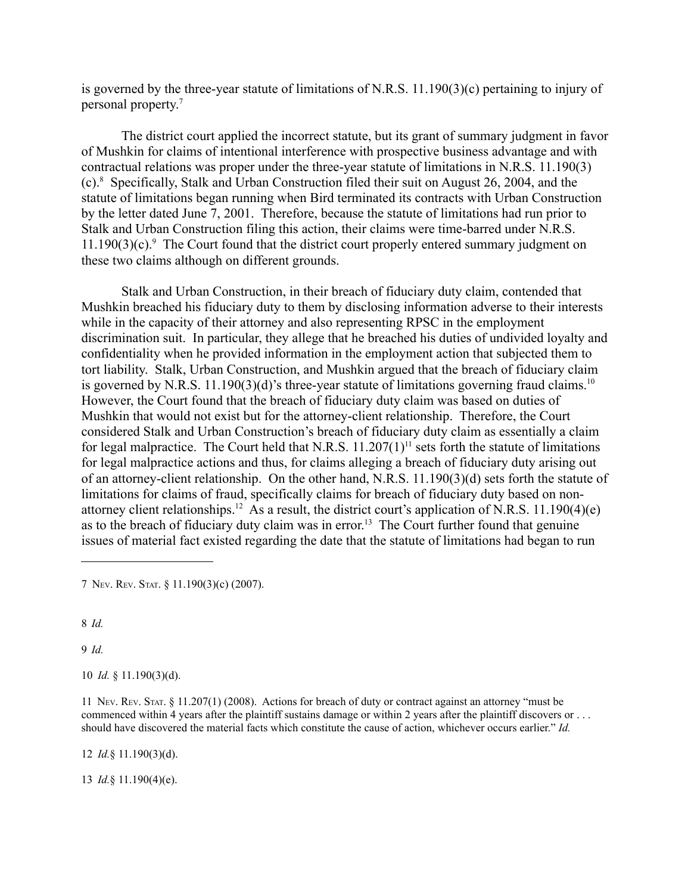is governed by the three-year statute of limitations of N.R.S. 11.190(3)(c) pertaining to injury of personal property.7

The district court applied the incorrect statute, but its grant of summary judgment in favor of Mushkin for claims of intentional interference with prospective business advantage and with contractual relations was proper under the three-year statute of limitations in N.R.S. 11.190(3) (c).8 Specifically, Stalk and Urban Construction filed their suit on August 26, 2004, and the statute of limitations began running when Bird terminated its contracts with Urban Construction by the letter dated June 7, 2001. Therefore, because the statute of limitations had run prior to Stalk and Urban Construction filing this action, their claims were time-barred under N.R.S. 11.190(3)(c).<sup>9</sup> The Court found that the district court properly entered summary judgment on these two claims although on different grounds.

Stalk and Urban Construction, in their breach of fiduciary duty claim, contended that Mushkin breached his fiduciary duty to them by disclosing information adverse to their interests while in the capacity of their attorney and also representing RPSC in the employment discrimination suit. In particular, they allege that he breached his duties of undivided loyalty and confidentiality when he provided information in the employment action that subjected them to tort liability. Stalk, Urban Construction, and Mushkin argued that the breach of fiduciary claim is governed by N.R.S. 11.190(3)(d)'s three-year statute of limitations governing fraud claims.<sup>10</sup> However, the Court found that the breach of fiduciary duty claim was based on duties of Mushkin that would not exist but for the attorney-client relationship. Therefore, the Court considered Stalk and Urban Construction's breach of fiduciary duty claim as essentially a claim for legal malpractice. The Court held that N.R.S.  $11.207(1)^{11}$  sets forth the statute of limitations for legal malpractice actions and thus, for claims alleging a breach of fiduciary duty arising out of an attorney-client relationship. On the other hand, N.R.S. 11.190(3)(d) sets forth the statute of limitations for claims of fraud, specifically claims for breach of fiduciary duty based on nonattorney client relationships.<sup>12</sup> As a result, the district court's application of N.R.S. 11.190(4)(e) as to the breach of fiduciary duty claim was in error.<sup>13</sup> The Court further found that genuine issues of material fact existed regarding the date that the statute of limitations had began to run

7 NEV. REV. STAT. § 11.190(3)(c) (2007).

8 *Id.*

9 *Id.*

10 *Id.* § 11.190(3)(d).

11 NEV. REV. STAT. § 11.207(1) (2008). Actions for breach of duty or contract against an attorney "must be commenced within 4 years after the plaintiff sustains damage or within 2 years after the plaintiff discovers or ... should have discovered the material facts which constitute the cause of action, whichever occurs earlier." *Id.*

12 *Id.*§ 11.190(3)(d).

13 *Id.*§ 11.190(4)(e).